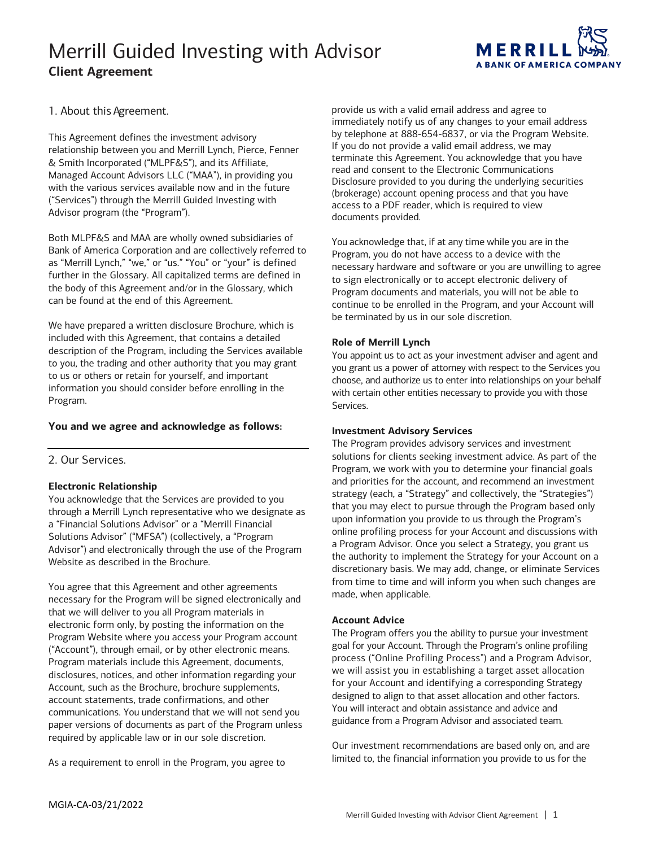

1. About this Agreement.

This Agreement defines the investment advisory relationship between you and Merrill Lynch, Pierce, Fenner & Smith Incorporated ("MLPF&S"), and its Affiliate, Managed Account Advisors LLC ("MAA"), in providing you with the various services available now and in the future ("Services") through the Merrill Guided Investing with Advisor program (the "Program").

 Both MLPF&S and MAA are wholly owned subsidiaries of can be found at the end of this Agreement. Bank of America Corporation and are collectively referred to as "Merrill Lynch," "we," or "us." "You" or "your" is defined further in the Glossary. All capitalized terms are defined in the body of this Agreement and/or in the Glossary, which

 included with this Agreement, that contains a detailed description of the Program, including the Services available to you, the trading and other authority that you may grant We have prepared a written disclosure Brochure, which is to us or others or retain for yourself, and important information you should consider before enrolling in the Program.

## **You and we agree and acknowledge as follows:**

2. Our Services.

## **Electronic Relationship**

 Advisor") and electronically through the use of the Program You acknowledge that the Services are provided to you through a Merrill Lynch representative who we designate as a "Financial Solutions Advisor" or a "Merrill Financial Solutions Advisor" ("MFSA") (collectively, a "Program Website as described in the Brochure.

 necessary for the Program will be signed electronically and that we will deliver to you all Program materials in ("Account"), through email, or by other electronic means. account statements, trade confirmations, and other required by applicable law or in our sole discretion. You agree that this Agreement and other agreements electronic form only, by posting the information on the Program Website where you access your Program account Program materials include this Agreement, documents, disclosures, notices, and other information regarding your Account, such as the Brochure, brochure supplements, communications. You understand that we will not send you paper versions of documents as part of the Program unless

As a requirement to enroll in the Program, you agree to

 provide us with a valid email address and agree to immediately notify us of any changes to your email address by telephone at 888-654-6837, or via the Program Website. If you do not provide a valid email address, we may terminate this Agreement. You acknowledge that you have access to a PDF reader, which is required to view read and consent to the Electronic Communications Disclosure provided to you during the underlying securities (brokerage) account opening process and that you have documents provided.

 You acknowledge that, if at any time while you are in the Program, you do not have access to a device with the Program documents and materials, you will not be able to continue to be enrolled in the Program, and your Account will necessary hardware and software or you are unwilling to agree to sign electronically or to accept electronic delivery of be terminated by us in our sole discretion.

## **Role of Merrill Lynch**

 You appoint us to act as your investment adviser and agent and you grant us a power of attorney with respect to the Services you choose, and authorize us to enter into relationships on your behalf with certain other entities necessary to provide you with those Services.

### **Investment Advisory Services**

 The Program provides advisory services and investment solutions for clients seeking investment advice. As part of the Program, we work with you to determine your financial goals a Program Advisor. Once you select a Strategy, you grant us and priorities for the account, and recommend an investment strategy (each, a "Strategy" and collectively, the "Strategies") that you may elect to pursue through the Program based only upon information you provide to us through the Program's online profiling process for your Account and discussions with the authority to implement the Strategy for your Account on a discretionary basis. We may add, change, or eliminate Services from time to time and will inform you when such changes are made, when applicable.

### **Account Advice**

 process ("Online Profiling Process") and a Program Advisor, we will assist you in establishing a target asset allocation designed to align to that asset allocation and other factors. You will interact and obtain assistance and advice and guidance from a Program Advisor and associated team. The Program offers you the ability to pursue your investment goal for your Account. Through the Program's online profiling for your Account and identifying a corresponding Strategy

 limited to, the financial information you provide to us for the Our investment recommendations are based only on, and are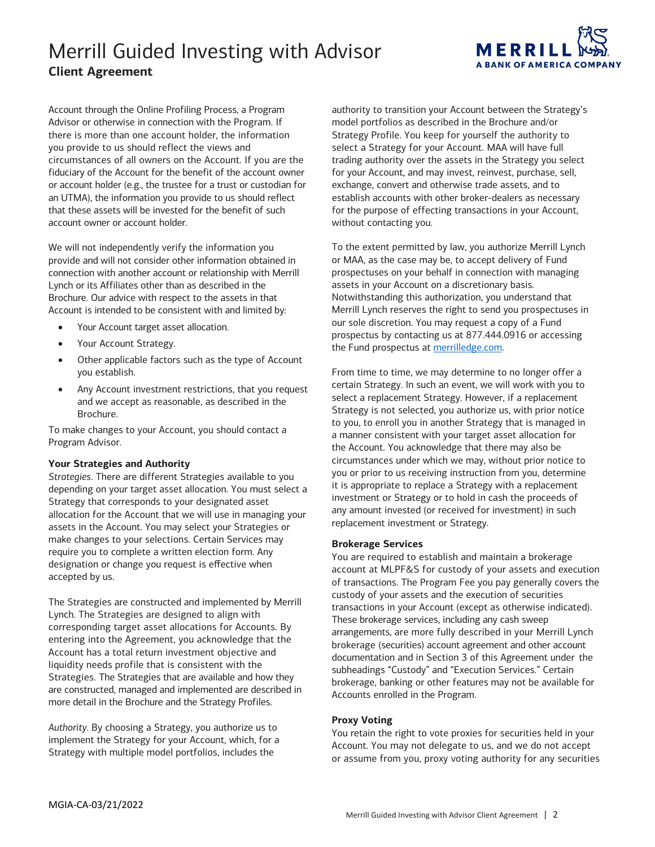

 Account through the Online Profiling Process, a Program fiduciary of the Account for the benefit of the account owner or account holder (e.g., the trustee for a trust or custodian for that these assets will be invested for the benefit of such Advisor or otherwise in connection with the Program. If there is more than one account holder, the information you provide to us should reflect the views and circumstances of all owners on the Account. If you are the an UTMA), the information you provide to us should reflect account owner or account holder.<br>We will not independently verify the information you

 Lynch or its Affiliates other than as described in the provide and will not consider other information obtained in connection with another account or relationship with Merrill Brochure. Our advice with respect to the assets in that Account is intended to be consistent with and limited by:

- Your Account target asset allocation.
- Your Account Strategy.
- • Other applicable factors such as the type of Account you establish.
- Brochure. Any Account investment restrictions, that you request and we accept as reasonable, as described in the

 Program Advisor. To make changes to your Account, you should contact a

#### **Your Strategies and Authority**

 *Strategies*. There are different Strategies available to you Strategy that corresponds to your designated asset assets in the Account. You may select your Strategies or make changes to your selections. Certain Services may require you to complete a written election form. Any depending on your target asset allocation. You must select a allocation for the Account that we will use in managing your designation or change you request is effective when accepted by us.

 are constructed, managed and implemented are described in more detail in the Brochure and the Strategy Profiles. The Strategies are constructed and implemented by Merrill Lynch. The Strategies are designed to align with corresponding target asset allocations for Accounts. By entering into the Agreement, you acknowledge that the Account has a total return investment objective and liquidity needs profile that is consistent with the Strategies. The Strategies that are available and how they

 Strategy with multiple model portfolios, includes the *Authority*. By choosing a Strategy, you authorize us to implement the Strategy for your Account, which, for a

 model portfolios as described in the Brochure and/or trading authority over the assets in the Strategy you select authority to transition your Account between the Strategy's Strategy Profile. You keep for yourself the authority to select a Strategy for your Account. MAA will have full for your Account, and may invest, reinvest, purchase, sell, exchange, convert and otherwise trade assets, and to establish accounts with other broker-dealers as necessary for the purpose of effecting transactions in your Account, without contacting you.

 or MAA, as the case may be, to accept delivery of Fund assets in your Account on a discretionary basis. our sole discretion. You may request a copy of a Fund prospectus by contacting us at 877.444.0916 or accessing To the extent permitted by law, you authorize Merrill Lynch prospectuses on your behalf in connection with managing Notwithstanding this authorization, you understand that Merrill Lynch reserves the right to send you prospectuses in the Fund prospectus at [merrilledge.com.](https://www.merrilledge.com/)

 From time to time, we may determine to no longer offer a Strategy is not selected, you authorize us, with prior notice a manner consistent with your target asset allocation for the Account. You acknowledge that there may also be circumstances under which we may, without prior notice to you or prior to us receiving instruction from you, determine any amount invested (or received for investment) in such certain Strategy. In such an event, we will work with you to select a replacement Strategy. However, if a replacement to you, to enroll you in another Strategy that is managed in it is appropriate to replace a Strategy with a replacement investment or Strategy or to hold in cash the proceeds of replacement investment or Strategy.

#### **Brokerage Services**

 of transactions. The Program Fee you pay generally covers the custody of your assets and the execution of securities transactions in your Account (except as otherwise indicated). arrangements, are more fully described in your Merrill Lynch documentation and in Section 3 of this Agreement under the You are required to establish and maintain a brokerage account at MLPF&S for custody of your assets and execution These brokerage services, including any cash sweep brokerage (securities) account agreement and other account subheadings "Custody" and "Execution Services." Certain brokerage, banking or other features may not be available for Accounts enrolled in the Program.

### **Proxy Voting**

 You retain the right to vote proxies for securities held in your Account. You may not delegate to us, and we do not accept or assume from you, proxy voting authority for any securities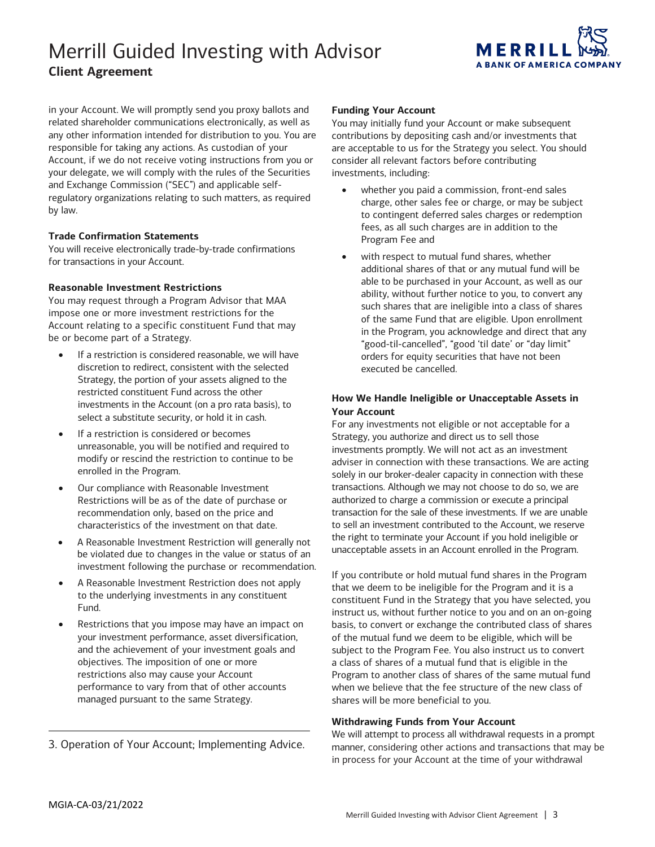

 related shareholder communications electronically, as well as any other information intended for distribution to you. You are Account, if we do not receive voting instructions from you or in your Account. We will promptly send you proxy ballots and responsible for taking any actions. As custodian of your your delegate, we will comply with the rules of the Securities and Exchange Commission ("SEC") and applicable selfregulatory organizations relating to such matters, as required by law.

### **Trade Confirmation Statements**

 You will receive electronically trade-by-trade confirmations for transactions in your Account.

### **Reasonable Investment Restrictions**

You may request through a Program Advisor that MAA impose one or more investment restrictions for the Account relating to a specific constituent Fund that may be or become part of a Strategy.

- • If a restriction is considered reasonable, we will have discretion to redirect, consistent with the selected Strategy, the portion of your assets aligned to the select a substitute security, or hold it in cash. restricted constituent Fund across the other investments in the Account (on a pro rata basis), to
- unreasonable, you will be notified and required to modify or rescind the restriction to continue to be enrolled in the Program. • If a restriction is considered or becomes
- characteristics of the investment on that date. • Our compliance with Reasonable Investment Restrictions will be as of the date of purchase or recommendation only, based on the price and
- A Reasonable Investment Restriction will generally not be violated due to changes in the value or status of an investment following the purchase or recommendation.
- A Reasonable Investment Restriction does not apply to the underlying investments in any constituent Fund.
- and the achievement of your investment goals and objectives. The imposition of one or more performance to vary from that of other accounts managed pursuant to the same Strategy. Restrictions that you impose may have an impact on your investment performance, asset diversification, restrictions also may cause your Account

3. Operation of Your Account; Implementing Advice.

#### **Funding Your Account**

 You may initially fund your Account or make subsequent are acceptable to us for the Strategy you select. You should contributions by depositing cash and/or investments that consider all relevant factors before contributing investments, including:

- • whether you paid a commission, front-end sales charge, other sales fee or charge, or may be subject to contingent deferred sales charges or redemption Program Fee and fees, as all such charges are in addition to the
- ability, without further notice to you, to convert any such shares that are ineligible into a class of shares of the same Fund that are eligible. Upon enrollment in the Program, you acknowledge and direct that any "good-til-cancelled", "good 'til date' or "day limit" with respect to mutual fund shares, whether additional shares of that or any mutual fund will be able to be purchased in your Account, as well as our orders for equity securities that have not been executed be cancelled.

## **How We Handle Ineligible or Unacceptable Assets in Your Account**

 adviser in connection with these transactions. We are acting transactions. Although we may not choose to do so, we are authorized to charge a commission or execute a principal For any investments not eligible or not acceptable for a Strategy, you authorize and direct us to sell those investments promptly. We will not act as an investment solely in our broker-dealer capacity in connection with these transaction for the sale of these investments. If we are unable to sell an investment contributed to the Account, we reserve the right to terminate your Account if you hold ineligible or unacceptable assets in an Account enrolled in the Program.

 constituent Fund in the Strategy that you have selected, you instruct us, without further notice to you and on an on-going basis, to convert or exchange the contributed class of shares a class of shares of a mutual fund that is eligible in the Program to another class of shares of the same mutual fund shares will be more beneficial to you. If you contribute or hold mutual fund shares in the Program that we deem to be ineligible for the Program and it is a of the mutual fund we deem to be eligible, which will be subject to the Program Fee. You also instruct us to convert when we believe that the fee structure of the new class of

### **Withdrawing Funds from Your Account**

 in process for your Account at the time of your withdrawal We will attempt to process all withdrawal requests in a prompt manner, considering other actions and transactions that may be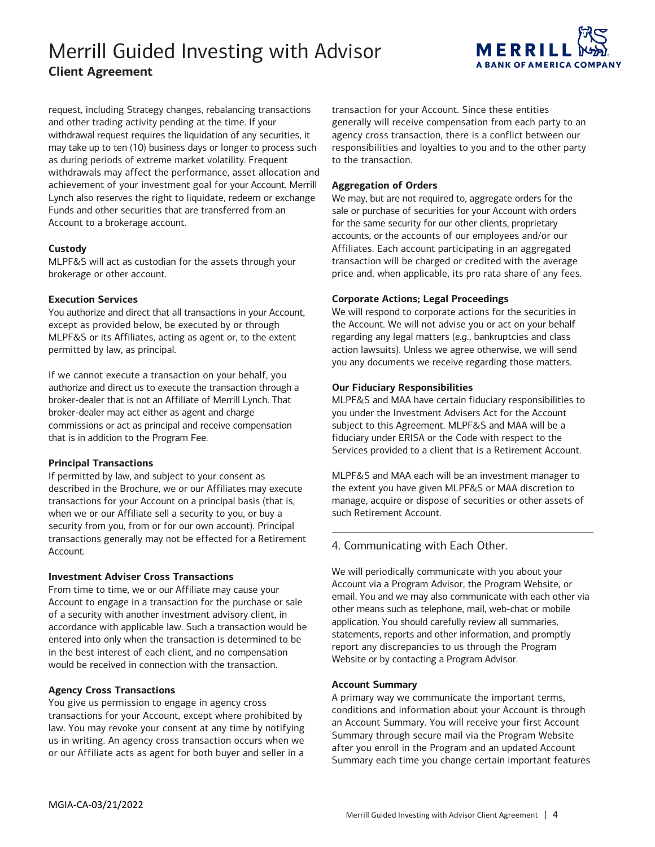

 and other trading activity pending at the time. If your may take up to ten (10) business days or longer to process such as during periods of extreme market volatility. Frequent request, including Strategy changes, rebalancing transactions withdrawal request requires the liquidation of any securities, it withdrawals may affect the performance, asset allocation and achievement of your investment goal for your Account. Merrill Lynch also reserves the right to liquidate, redeem or exchange Funds and other securities that are transferred from an Account to a brokerage account.

### **Custody**

MLPF&S will act as custodian for the assets through your brokerage or other account.

### **Execution Services**

permitted by law, as principal. permitted by law, as principal.<br>If we cannot execute a transaction on your behalf, you You authorize and direct that all transactions in your Account, except as provided below, be executed by or through MLPF&S or its Affiliates, acting as agent or, to the extent

 authorize and direct us to execute the transaction through a broker-dealer that is not an Affiliate of Merrill Lynch. That broker-dealer may act either as agent and charge commissions or act as principal and receive compensation that is in addition to the Program Fee.

## **Principal Transactions**

 when we or our Affiliate sell a security to you, or buy a security from you, from or for our own account). Principal transactions generally may not be effected for a Retirement Account. If permitted by law, and subject to your consent as described in the Brochure, we or our Affiliates may execute transactions for your Account on a principal basis (that is,

### **Investment Adviser Cross Transactions**

 Account to engage in a transaction for the purchase or sale accordance with applicable law. Such a transaction would be entered into only when the transaction is determined to be From time to time, we or our Affiliate may cause your of a security with another investment advisory client, in in the best interest of each client, and no compensation would be received in connection with the transaction.

## **Agency Cross Transactions**

 law. You may revoke your consent at any time by notifying You give us permission to engage in agency cross transactions for your Account, except where prohibited by us in writing. An agency cross transaction occurs when we or our Affiliate acts as agent for both buyer and seller in a

 agency cross transaction, there is a conflict between our transaction for your Account. Since these entities generally will receive compensation from each party to an responsibilities and loyalties to you and to the other party to the transaction.

## **Aggregation of Orders**

 sale or purchase of securities for your Account with orders for the same security for our other clients, proprietary We may, but are not required to, aggregate orders for the accounts, or the accounts of our employees and/or our Affiliates. Each account participating in an aggregated transaction will be charged or credited with the average price and, when applicable, its pro rata share of any fees.

### **Corporate Actions; Legal Proceedings**

 We will respond to corporate actions for the securities in the Account. We will not advise you or act on your behalf regarding any legal matters (*e.g*., bankruptcies and class action lawsuits). Unless we agree otherwise, we will send you any documents we receive regarding those matters.

## **Our Fiduciary Responsibilities**

 you under the Investment Advisers Act for the Account subject to this Agreement. MLPF&S and MAA will be a MLPF&S and MAA have certain fiduciary responsibilities to fiduciary under ERISA or the Code with respect to the Services provided to a client that is a Retirement Account.

 the extent you have given MLPF&S or MAA discretion to MLPF&S and MAA each will be an investment manager to manage, acquire or dispose of securities or other assets of such Retirement Account.

## 4. Communicating with Each Other.

 Account via a Program Advisor, the Program Website, or email. You and we may also communicate with each other via application. You should carefully review all summaries, statements, reports and other information, and promptly Website or by contacting a Program Advisor. We will periodically communicate with you about your other means such as telephone, mail, web-chat or mobile report any discrepancies to us through the Program

### **Account Summary**

 A primary way we communicate the important terms, conditions and information about your Account is through an Account Summary. You will receive your first Account Summary through secure mail via the Program Website after you enroll in the Program and an updated Account Summary each time you change certain important features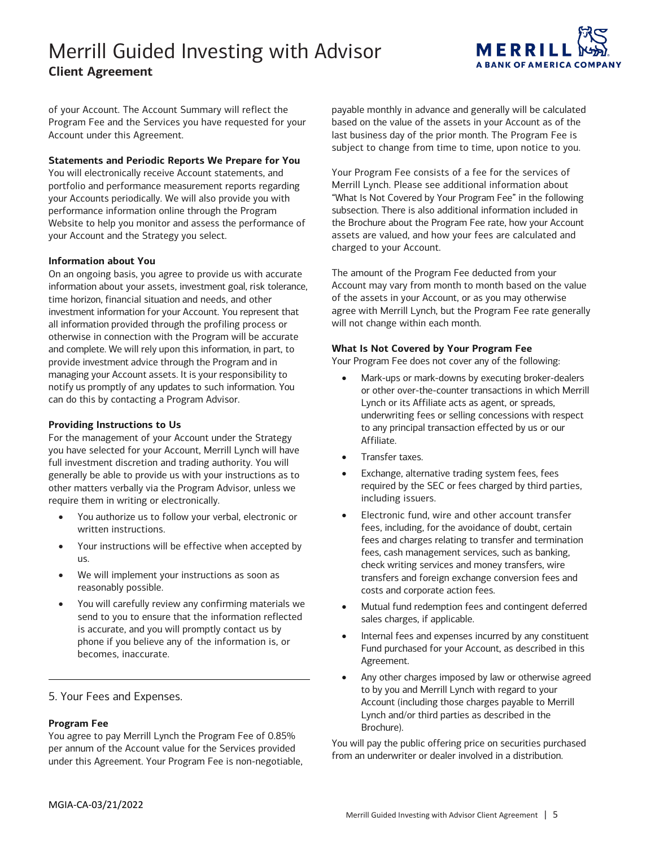

 of your Account. The Account Summary will reflect the Account under this Agreement. Program Fee and the Services you have requested for your

### **Statements and Periodic Reports We Prepare for You**

 Website to help you monitor and assess the performance of You will electronically receive Account statements, and portfolio and performance measurement reports regarding your Accounts periodically. We will also provide you with performance information online through the Program your Account and the Strategy you select.

## **Information about You**

 time horizon, financial situation and needs, and other investment information for your Account. You represent that all information provided through the profiling process or and complete. We will rely upon this information, in part, to provide investment advice through the Program and in managing your Account assets. It is your responsibility to notify us promptly of any updates to such information. You can do this by contacting a Program Advisor. On an ongoing basis, you agree to provide us with accurate information about your assets, investment goal, risk tolerance, otherwise in connection with the Program will be accurate

### **Providing Instructions to Us**

 For the management of your Account under the Strategy you have selected for your Account, Merrill Lynch will have full investment discretion and trading authority. You will generally be able to provide us with your instructions as to other matters verbally via the Program Advisor, unless we require them in writing or electronically.

- You authorize us to follow your verbal, electronic or written instructions.
- Your instructions will be effective when accepted by us.
- We will implement your instructions as soon as reasonably possible.
- phone if you believe any of the information is, or • You will carefully review any confirming materials we send to you to ensure that the information reflected is accurate, and you will promptly contact us by becomes, inaccurate.

5. Your Fees and Expenses.

## **Program Fee**

 You agree to pay Merrill Lynch the Program Fee of 0.85% per annum of the Account value for the Services provided under this Agreement. Your Program Fee is non-negotiable,

 based on the value of the assets in your Account as of the last business day of the prior month. The Program Fee is payable monthly in advance and generally will be calculated subject to change from time to time, upon notice to you.

 Your Program Fee consists of a fee for the services of Merrill Lynch. Please see additional information about "What Is Not Covered by Your Program Fee" in the following subsection. There is also additional information included in the Brochure about the Program Fee rate, how your Account assets are valued, and how your fees are calculated and charged to your Account.

 Account may vary from month to month based on the value agree with Merrill Lynch, but the Program Fee rate generally The amount of the Program Fee deducted from your of the assets in your Account, or as you may otherwise will not change within each month.

## **What Is Not Covered by Your Program Fee**

Your Program Fee does not cover any of the following:

- to any principal transaction effected by us or our • Mark-ups or mark-downs by executing broker-dealers or other over-the-counter transactions in which Merrill Lynch or its Affiliate acts as agent, or spreads, underwriting fees or selling concessions with respect Affiliate.
- Transfer taxes.
- • Exchange, alternative trading system fees, fees required by the SEC or fees charged by third parties, including issuers.
- fees, including, for the avoidance of doubt, certain transfers and foreign exchange conversion fees and costs and corporate action fees. • Electronic fund, wire and other account transfer fees and charges relating to transfer and termination fees, cash management services, such as banking, check writing services and money transfers, wire
- sales charges, if applicable. • Mutual fund redemption fees and contingent deferred
- Internal fees and expenses incurred by any constituent Fund purchased for your Account, as described in this Agreement.
- to by you and Merrill Lynch with regard to your Any other charges imposed by law or otherwise agreed Account (including those charges payable to Merrill Lynch and/or third parties as described in the Brochure).

 from an underwriter or dealer involved in a distribution. You will pay the public offering price on securities purchased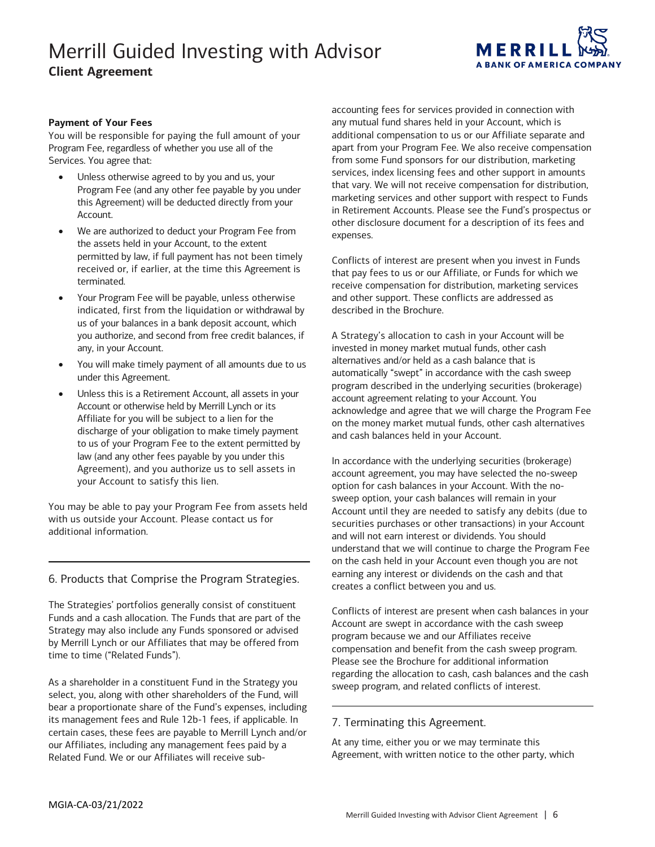

### **Payment of Your Fees**

 Program Fee, regardless of whether you use all of the You will be responsible for paying the full amount of your Services. You agree that:

- • Unless otherwise agreed to by you and us, your Program Fee (and any other fee payable by you under this Agreement) will be deducted directly from your Account.
- • We are authorized to deduct your Program Fee from the assets held in your Account, to the extent permitted by law, if full payment has not been timely received or, if earlier, at the time this Agreement is terminated.
- • Your Program Fee will be payable, unless otherwise you authorize, and second from free credit balances, if indicated, first from the liquidation or withdrawal by us of your balances in a bank deposit account, which any, in your Account.
- • You will make timely payment of all amounts due to us under this Agreement.
- Affiliate for you will be subject to a lien for the law (and any other fees payable by you under this Unless this is a Retirement Account, all assets in your Account or otherwise held by Merrill Lynch or its discharge of your obligation to make timely payment to us of your Program Fee to the extent permitted by Agreement), and you authorize us to sell assets in your Account to satisfy this lien.

You may be able to pay your Program Fee from assets held with us outside your Account. Please contact us for additional information.

## 6. Products that Comprise the Program Strategies.

 The Strategies' portfolios generally consist of constituent Funds and a cash allocation. The Funds that are part of the Strategy may also include any Funds sponsored or advised by Merrill Lynch or our Affiliates that may be offered from time to time ("Related Funds").

 select, you, along with other shareholders of the Fund, will bear a proportionate share of the Fund's expenses, including certain cases, these fees are payable to Merrill Lynch and/or our Affiliates, including any management fees paid by a As a shareholder in a constituent Fund in the Strategy you its management fees and Rule 12b-1 fees, if applicable. In Related Fund. We or our Affiliates will receive sub-

 services, index licensing fees and other support in amounts that vary. We will not receive compensation for distribution, marketing services and other support with respect to Funds in Retirement Accounts. Please see the Fund's prospectus or accounting fees for services provided in connection with any mutual fund shares held in your Account, which is additional compensation to us or our Affiliate separate and apart from your Program Fee. We also receive compensation from some Fund sponsors for our distribution, marketing other disclosure document for a description of its fees and expenses.

 that pay fees to us or our Affiliate, or Funds for which we Conflicts of interest are present when you invest in Funds receive compensation for distribution, marketing services and other support. These conflicts are addressed as described in the Brochure.

 A Strategy's allocation to cash in your Account will be invested in money market mutual funds, other cash alternatives and/or held as a cash balance that is on the money market mutual funds, other cash alternatives and cash balances held in your Account. automatically "swept" in accordance with the cash sweep program described in the underlying securities (brokerage) account agreement relating to your Account. You acknowledge and agree that we will charge the Program Fee

 In accordance with the underlying securities (brokerage) account agreement, you may have selected the no-sweep securities purchases or other transactions) in your Account and will not earn interest or dividends. You should on the cash held in your Account even though you are not option for cash balances in your Account. With the nosweep option, your cash balances will remain in your Account until they are needed to satisfy any debits (due to understand that we will continue to charge the Program Fee earning any interest or dividends on the cash and that creates a conflict between you and us.

 Please see the Brochure for additional information sweep program, and related conflicts of interest. Conflicts of interest are present when cash balances in your Account are swept in accordance with the cash sweep program because we and our Affiliates receive compensation and benefit from the cash sweep program. regarding the allocation to cash, cash balances and the cash

### 7. Terminating this Agreement.

At any time, either you or we may terminate this Agreement, with written notice to the other party, which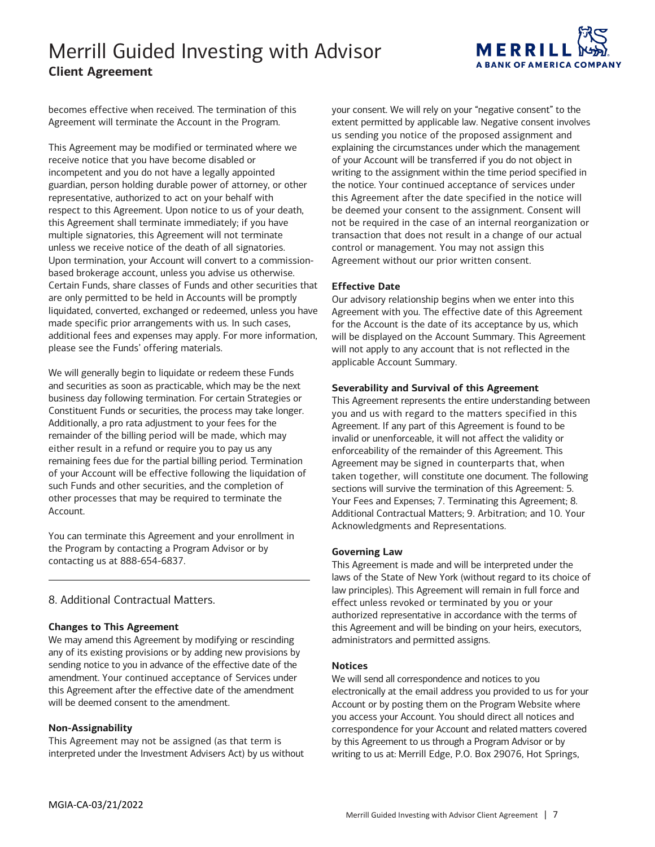

 becomes effective when received. The termination of this Agreement will terminate the Account in the Program.

 representative, authorized to act on your behalf with multiple signatories, this Agreement will not terminate Upon termination, your Account will convert to a commission- Certain Funds, share classes of Funds and other securities that liquidated, converted, exchanged or redeemed, unless you have please see the Funds' offering materials. This Agreement may be modified or terminated where we receive notice that you have become disabled or incompetent and you do not have a legally appointed guardian, person holding durable power of attorney, or other respect to this Agreement. Upon notice to us of your death, this Agreement shall terminate immediately; if you have unless we receive notice of the death of all signatories. based brokerage account, unless you advise us otherwise. are only permitted to be held in Accounts will be promptly made specific prior arrangements with us. In such cases, additional fees and expenses may apply. For more information,

 We will generally begin to liquidate or redeem these Funds business day following termination. For certain Strategies or Additionally, a pro rata adjustment to your fees for the remainder of the billing period will be made, which may either result in a refund or require you to pay us any remaining fees due for the partial billing period. Termination of your Account will be effective following the liquidation of such Funds and other securities, and the completion of other processes that may be required to terminate the and securities as soon as practicable, which may be the next Constituent Funds or securities, the process may take longer. Account.

 You can terminate this Agreement and your enrollment in the Program by contacting a Program Advisor or by contacting us at 888-654-6837.

### 8. Additional Contractual Matters.

### **Changes to This Agreement**

 We may amend this Agreement by modifying or rescinding any of its existing provisions or by adding new provisions by this Agreement after the effective date of the amendment will be deemed consent to the amendment. sending notice to you in advance of the effective date of the amendment. Your continued acceptance of Services under

### **Non-Assignability**

This Agreement may not be assigned (as that term is interpreted under the Investment Advisers Act) by us without

 your consent. We will rely on your "negative consent" to the of your Account will be transferred if you do not object in extent permitted by applicable law. Negative consent involves us sending you notice of the proposed assignment and explaining the circumstances under which the management writing to the assignment within the time period specified in the notice. Your continued acceptance of services under this Agreement after the date specified in the notice will be deemed your consent to the assignment. Consent will not be required in the case of an internal reorganization or transaction that does not result in a change of our actual control or management. You may not assign this Agreement without our prior written consent.

## **Effective Date**

 Agreement with you. The effective date of this Agreement for the Account is the date of its acceptance by us, which will be displayed on the Account Summary. This Agreement Our advisory relationship begins when we enter into this will not apply to any account that is not reflected in the applicable Account Summary.

### **Severability and Survival of this Agreement**

 This Agreement represents the entire understanding between you and us with regard to the matters specified in this Agreement. If any part of this Agreement is found to be invalid or unenforceable, it will not affect the validity or Agreement may be signed in counterparts that, when sections will survive the termination of this Agreement: 5. Your Fees and Expenses; 7. Terminating this Agreement; 8. Additional Contractual Matters; 9. Arbitration; and 10. Your enforceability of the remainder of this Agreement. This taken together, will constitute one document. The following Acknowledgments and Representations.

### **Governing Law**

 laws of the State of New York (without regard to its choice of this Agreement and will be binding on your heirs, executors, This Agreement is made and will be interpreted under the law principles). This Agreement will remain in full force and effect unless revoked or terminated by you or your authorized representative in accordance with the terms of administrators and permitted assigns.

### **Notices**

 electronically at the email address you provided to us for your Account or by posting them on the Program Website where writing to us at: Merrill Edge, P.O. Box 29076, Hot Springs, We will send all correspondence and notices to you you access your Account. You should direct all notices and correspondence for your Account and related matters covered by this Agreement to us through a Program Advisor or by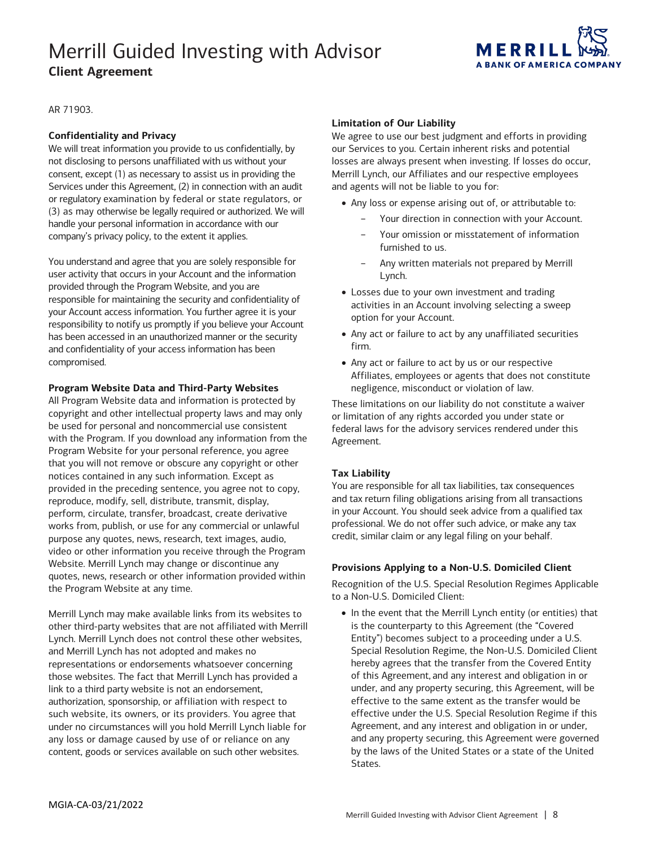

AR 71903.

### **Confidentiality and Privacy**

 company's privacy policy, to the extent it applies. We will treat information you provide to us confidentially, by not disclosing to persons unaffiliated with us without your consent, except (1) as necessary to assist us in providing the Services under this Agreement, (2) in connection with an audit or regulatory examination by federal or state regulators, or (3) as may otherwise be legally required or authorized. We will handle your personal information in accordance with our

 You understand and agree that you are solely responsible for your Account access information. You further agree it is your user activity that occurs in your Account and the information provided through the Program Website, and you are responsible for maintaining the security and confidentiality of responsibility to notify us promptly if you believe your Account has been accessed in an unauthorized manner or the security and confidentiality of your access information has been compromised.

#### **Program Website Data and Third-Party Websites**

 be used for personal and noncommercial use consistent with the Program. If you download any information from the that you will not remove or obscure any copyright or other notices contained in any such information. Except as provided in the preceding sentence, you agree not to copy, reproduce, modify, sell, distribute, transmit, display, works from, publish, or use for any commercial or unlawful purpose any quotes, news, research, text images, audio, video or other information you receive through the Program All Program Website data and information is protected by copyright and other intellectual property laws and may only Program Website for your personal reference, you agree perform, circulate, transfer, broadcast, create derivative Website. Merrill Lynch may change or discontinue any quotes, news, research or other information provided within the Program Website at any time.

 Lynch. Merrill Lynch does not control these other websites, any loss or damage caused by use of or reliance on any Merrill Lynch may make available links from its websites to other third-party websites that are not affiliated with Merrill and Merrill Lynch has not adopted and makes no representations or endorsements whatsoever concerning those websites. The fact that Merrill Lynch has provided a link to a third party website is not an endorsement, authorization, sponsorship, or affiliation with respect to such website, its owners, or its providers. You agree that under no circumstances will you hold Merrill Lynch liable for content, goods or services available on such other websites.

#### **Limitation of Our Liability**

 and agents will not be liable to you for: We agree to use our best judgment and efforts in providing our Services to you. Certain inherent risks and potential losses are always present when investing. If losses do occur, Merrill Lynch, our Affiliates and our respective employees

- • Any loss or expense arising out of, or attributable to:
	- − Your direction in connection with your Account.
	- Your omission or misstatement of information furnished to us.
	- Any written materials not prepared by Merrill Lynch.
- • Losses due to your own investment and trading activities in an Account involving selecting a sweep option for your Account.
- • Any act or failure to act by any unaffiliated securities firm.
- Any act or failure to act by us or our respective Affiliates, employees or agents that does not constitute negligence, misconduct or violation of law.

 or limitation of any rights accorded you under state or These limitations on our liability do not constitute a waiver federal laws for the advisory services rendered under this Agreement.

### **Tax Liability**

 You are responsible for all tax liabilities, tax consequences and tax return filing obligations arising from all transactions in your Account. You should seek advice from a qualified tax professional. We do not offer such advice, or make any tax credit, similar claim or any legal filing on your behalf.

#### **Provisions Applying to a Non-U.S. Domiciled Client**

 to a Non-U.S. Domiciled Client: Recognition of the U.S. Special Resolution Regimes Applicable

 hereby agrees that the transfer from the Covered Entity under, and any property securing, this Agreement, will be effective to the same extent as the transfer would be Agreement, and any interest and obligation in or under, and any property securing, this Agreement were governed by the laws of the United States or a state of the United • In the event that the Merrill Lynch entity (or entities) that is the counterparty to this Agreement (the "Covered Entity") becomes subject to a proceeding under a U.S. Special Resolution Regime, the Non-U.S. Domiciled Client of this Agreement, and any interest and obligation in or effective under the U.S. Special Resolution Regime if this States.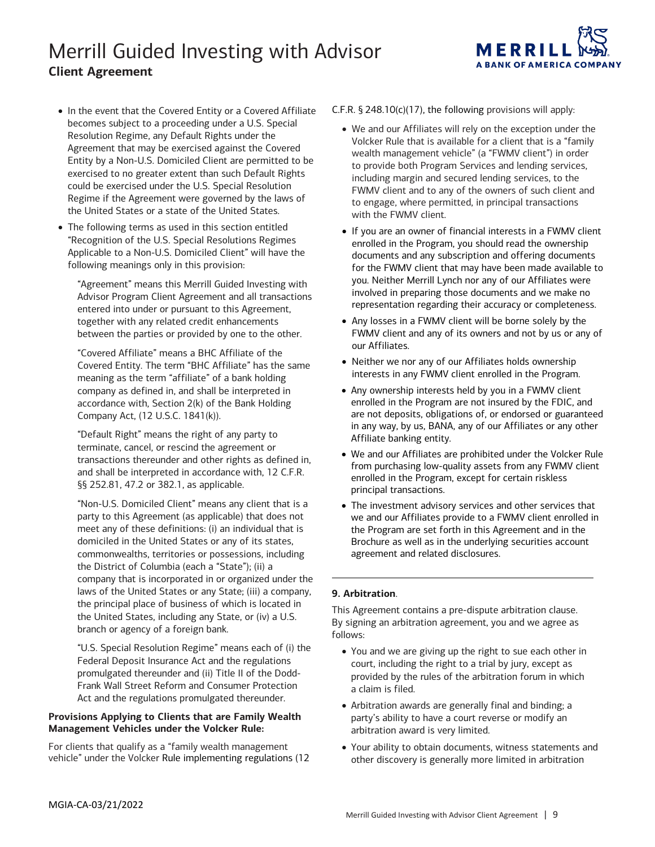

- becomes subject to a proceeding under a U.S. Special Entity by a Non-U.S. Domiciled Client are permitted to be could be exercised under the U.S. Special Resolution the United States or a state of the United States. • In the event that the Covered Entity or a Covered Affiliate Resolution Regime, any Default Rights under the Agreement that may be exercised against the Covered exercised to no greater extent than such Default Rights Regime if the Agreement were governed by the laws of
- "Recognition of the U.S. Special Resolutions Regimes Applicable to a Non-U.S. Domiciled Client" will have the • The following terms as used in this section entitled following meanings only in this provision:

 between the parties or provided by one to the other. "Agreement" means this Merrill Guided Investing with Advisor Program Client Agreement and all transactions entered into under or pursuant to this Agreement, together with any related credit enhancements

 "Covered Affiliate" means a BHC Affiliate of the accordance with, Section 2(k) of the Bank Holding Covered Entity. The term "BHC Affiliate" has the same meaning as the term "affiliate" of a bank holding company as defined in, and shall be interpreted in Company Act, (12 U.S.C. 1841(k)).

 "Default Right" means the right of any party to transactions thereunder and other rights as defined in, §§ 252.81, 47.2 or 382.1, as applicable. terminate, cancel, or rescind the agreement or and shall be interpreted in accordance with, 12 C.F.R.

 "Non-U.S. Domiciled Client" means any client that is a domiciled in the United States or any of its states, company that is incorporated in or organized under the laws of the United States or any State; (iii) a company, the principal place of business of which is located in party to this Agreement (as applicable) that does not meet any of these definitions: (i) an individual that is commonwealths, territories or possessions, including the District of Columbia (each a "State"); (ii) a the United States, including any State, or (iv) a U.S. branch or agency of a foreign bank.

 Federal Deposit Insurance Act and the regulations "U.S. Special Resolution Regime" means each of (i) the promulgated thereunder and (ii) Title II of the Dodd-Frank Wall Street Reform and Consumer Protection Act and the regulations promulgated thereunder.

## **Provisions Applying to Clients that are Family Wealth Management Vehicles under the Volcker Rule:**

 For clients that qualify as a "family wealth management vehicle" under the Volcker Rule implementing regulations (12 C.F.R.  $\S$  248.10(c)(17), the following provisions will apply:

- We and our Affiliates will rely on the exception under the Volcker Rule that is available for a client that is a "family wealth management vehicle" (a "FWMV client") in order to provide both Program Services and lending services, including margin and secured lending services, to the FWMV client and to any of the owners of such client and to engage, where permitted, in principal transactions with the FWMV client.
- enrolled in the Program, you should read the ownership for the FWMV client that may have been made available to involved in preparing those documents and we make no representation regarding their accuracy or completeness. • If you are an owner of financial interests in a FWMV client documents and any subscription and offering documents you. Neither Merrill Lynch nor any of our Affiliates were
- our Affiliates. • Any losses in a FWMV client will be borne solely by the FWMV client and any of its owners and not by us or any of
- • Neither we nor any of our Affiliates holds ownership interests in any FWMV client enrolled in the Program.
- enrolled in the Program are not insured by the FDIC, and in any way, by us, BANA, any of our Affiliates or any other Affiliate banking entity. • Any ownership interests held by you in a FWMV client are not deposits, obligations of, or endorsed or guaranteed
- enrolled in the Program, except for certain riskless • We and our Affiliates are prohibited under the Volcker Rule from purchasing low-quality assets from any FWMV client principal transactions.
- • The investment advisory services and other services that we and our Affiliates provide to a FWMV client enrolled in the Program are set forth in this Agreement and in the Brochure as well as in the underlying securities account agreement and related disclosures.

## **9. Arbitration**.

This Agreement contains a pre-dispute arbitration clause. By signing an arbitration agreement, you and we agree as follows:

- • You and we are giving up the right to sue each other in provided by the rules of the arbitration forum in which court, including the right to a trial by jury, except as a claim is filed.
- • Arbitration awards are generally final and binding; a party's ability to have a court reverse or modify an arbitration award is very limited.
- • Your ability to obtain documents, witness statements and other discovery is generally more limited in arbitration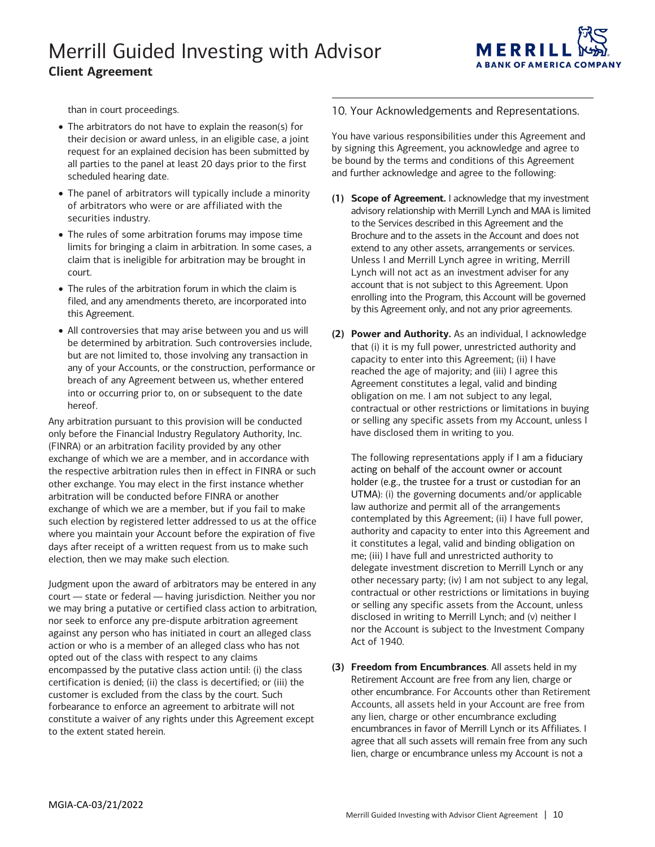

than in court proceedings.

- request for an explained decision has been submitted by all parties to the panel at least 20 days prior to the first • The arbitrators do not have to explain the reason(s) for their decision or award unless, in an eligible case, a joint scheduled hearing date.
- • The panel of arbitrators will typically include a minority of arbitrators who were or are affiliated with the securities industry.
- claim that is ineligible for arbitration may be brought in • The rules of some arbitration forums may impose time limits for bringing a claim in arbitration. In some cases, a court.
- • The rules of the arbitration forum in which the claim is filed, and any amendments thereto, are incorporated into this Agreement.
- be determined by arbitration. Such controversies include, any of your Accounts, or the construction, performance or breach of any Agreement between us, whether entered into or occurring prior to, on or subsequent to the date • All controversies that may arise between you and us will but are not limited to, those involving any transaction in hereof.

 the respective arbitration rules then in effect in FINRA or such exchange of which we are a member, but if you fail to make days after receipt of a written request from us to make such election, then we may make such election. Any arbitration pursuant to this provision will be conducted only before the Financial Industry Regulatory Authority, Inc. (FINRA) or an arbitration facility provided by any other exchange of which we are a member, and in accordance with other exchange. You may elect in the first instance whether arbitration will be conducted before FINRA or another such election by registered letter addressed to us at the office where you maintain your Account before the expiration of five

        court — state or federal — having jurisdiction. Neither you nor we may bring a putative or certified class action to arbitration, against any person who has initiated in court an alleged class action or who is a member of an alleged class who has not encompassed by the putative class action until: (i) the class certification is denied; (ii) the class is decertified; or (iii) the customer is excluded from the class by the court. Such forbearance to enforce an agreement to arbitrate will not Judgment upon the award of arbitrators may be entered in any nor seek to enforce any pre-dispute arbitration agreement opted out of the class with respect to any claims constitute a waiver of any rights under this Agreement except to the extent stated herein.

## 10. Your Acknowledgements and Representations.

 by signing this Agreement, you acknowledge and agree to and further acknowledge and agree to the following: You have various responsibilities under this Agreement and be bound by the terms and conditions of this Agreement

- Unless I and Merrill Lynch agree in writing, Merrill Lynch will not act as an investment adviser for any **(1) Scope of Agreement.** I acknowledge that my investment advisory relationship with Merrill Lynch and MAA is limited to the Services described in this Agreement and the Brochure and to the assets in the Account and does not extend to any other assets, arrangements or services. account that is not subject to this Agreement. Upon enrolling into the Program, this Account will be governed by this Agreement only, and not any prior agreements.
- capacity to enter into this Agreement; (ii) I have reached the age of majority; and (iii) I agree this contractual or other restrictions or limitations in buying **(2) Power and Authority.** As an individual, I acknowledge that (i) it is my full power, unrestricted authority and Agreement constitutes a legal, valid and binding obligation on me. I am not subject to any legal, or selling any specific assets from my Account, unless I have disclosed them in writing to you.

 acting on behalf of the account owner or account holder (e.g., the trustee for a trust or custodian for an UTMA): (i) the governing documents and/or applicable contractual or other restrictions or limitations in buying The following representations apply if I am a fiduciary law authorize and permit all of the arrangements contemplated by this Agreement; (ii) I have full power, authority and capacity to enter into this Agreement and it constitutes a legal, valid and binding obligation on me; (iii) I have full and unrestricted authority to delegate investment discretion to Merrill Lynch or any other necessary party; (iv) I am not subject to any legal, or selling any specific assets from the Account, unless disclosed in writing to Merrill Lynch; and (v) neither I nor the Account is subject to the Investment Company Act of 1940.

 **(3) Freedom from Encumbrances**. All assets held in my Retirement Account are free from any lien, charge or other encumbrance. For Accounts other than Retirement encumbrances in favor of Merrill Lynch or its Affiliates. I agree that all such assets will remain free from any such lien, charge or encumbrance unless my Account is not a Accounts, all assets held in your Account are free from any lien, charge or other encumbrance excluding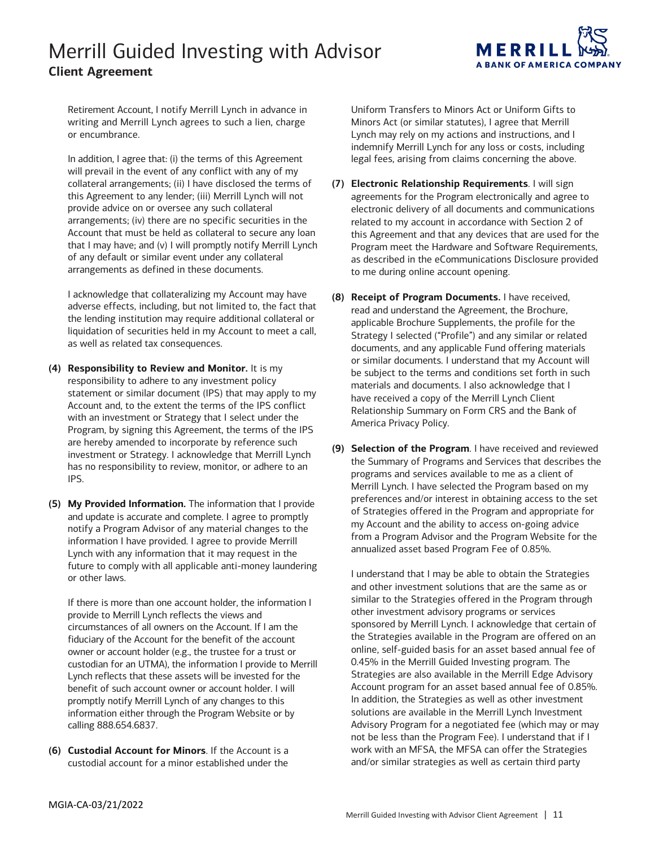

 Retirement Account, I notify Merrill Lynch in advance in writing and Merrill Lynch agrees to such a lien, charge or encumbrance.

or encumbrance.<br>In addition, I agree that: (i) the terms of this Agreement collateral arrangements; (ii) I have disclosed the terms of this Agreement to any lender; (iii) Merrill Lynch will not provide advice on or oversee any such collateral Account that must be held as collateral to secure any loan of any default or similar event under any collateral will prevail in the event of any conflict with any of my arrangements; (iv) there are no specific securities in the that I may have; and (v) I will promptly notify Merrill Lynch arrangements as defined in these documents.

 I acknowledge that collateralizing my Account may have the lending institution may require additional collateral or adverse effects, including, but not limited to, the fact that liquidation of securities held in my Account to meet a call, as well as related tax consequences.

- responsibility to adhere to any investment policy statement or similar document (IPS) that may apply to my Account and, to the extent the terms of the IPS conflict Program, by signing this Agreement, the terms of the IPS investment or Strategy. I acknowledge that Merrill Lynch **(4) Responsibility to Review and Monitor.** It is my with an investment or Strategy that I select under the are hereby amended to incorporate by reference such has no responsibility to review, monitor, or adhere to an IPS.
- and update is accurate and complete. I agree to promptly notify a Program Advisor of any material changes to the information I have provided. I agree to provide Merrill **(5) My Provided Information.** The information that I provide Lynch with any information that it may request in the future to comply with all applicable anti-money laundering or other laws.

 If there is more than one account holder, the information I provide to Merrill Lynch reflects the views and circumstances of all owners on the Account. If I am the fiduciary of the Account for the benefit of the account owner or account holder (e.g., the trustee for a trust or custodian for an UTMA), the information I provide to Merrill benefit of such account owner or account holder. I will information either through the Program Website or by Lynch reflects that these assets will be invested for the promptly notify Merrill Lynch of any changes to this calling 888.654.6837.

**(6) Custodial Account for Minors**. If the Account is a custodial account for a minor established under the

 Minors Act (or similar statutes), I agree that Merrill Uniform Transfers to Minors Act or Uniform Gifts to Lynch may rely on my actions and instructions, and I indemnify Merrill Lynch for any loss or costs, including legal fees, arising from claims concerning the above.

- electronic delivery of all documents and communications this Agreement and that any devices that are used for the **(7) Electronic Relationship Requirements**. I will sign agreements for the Program electronically and agree to related to my account in accordance with Section 2 of Program meet the Hardware and Software Requirements, as described in the eCommunications Disclosure provided to me during online account opening.
- read and understand the Agreement, the Brochure, applicable Brochure Supplements, the profile for the Strategy I selected ("Profile") and any similar or related be subject to the terms and conditions set forth in such have received a copy of the Merrill Lynch Client Relationship Summary on Form CRS and the Bank of **(8) Receipt of Program Documents.** I have received, documents, and any applicable Fund offering materials or similar documents. I understand that my Account will materials and documents. I also acknowledge that I America Privacy Policy.
- Merrill Lynch. I have selected the Program based on my preferences and/or interest in obtaining access to the set my Account and the ability to access on-going advice **(9) Selection of the Program**. I have received and reviewed the Summary of Programs and Services that describes the programs and services available to me as a client of of Strategies offered in the Program and appropriate for from a Program Advisor and the Program Website for the annualized asset based Program Fee of 0.85%.

 I understand that I may be able to obtain the Strategies and other investment solutions that are the same as or similar to the Strategies offered in the Program through sponsored by Merrill Lynch. I acknowledge that certain of online, self-guided basis for an asset based annual fee of In addition, the Strategies as well as other investment solutions are available in the Merrill Lynch Investment Advisory Program for a negotiated fee (which may or may not be less than the Program Fee). I understand that if I and/or similar strategies as well as certain third party other investment advisory programs or services the Strategies available in the Program are offered on an 0.45% in the Merrill Guided Investing program. The Strategies are also available in the Merrill Edge Advisory Account program for an asset based annual fee of 0.85%. work with an MFSA, the MFSA can offer the Strategies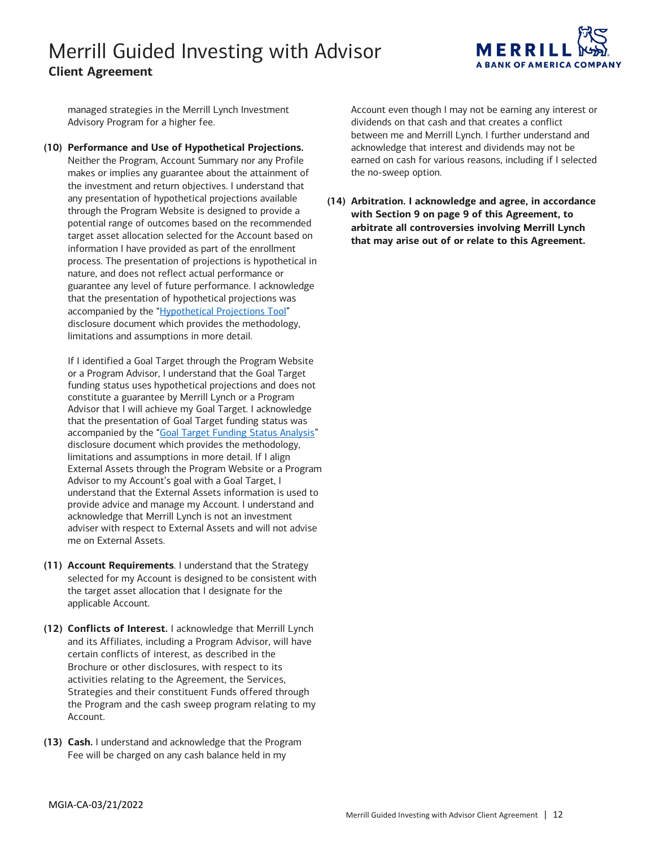

managed strategies in the Merrill Lynch Investment Advisory Program for a higher fee.

 **(10) Performance and Use of Hypothetical Projections.**  makes or implies any guarantee about the attainment of potential range of outcomes based on the recommended target asset allocation selected for the Account based on guarantee any level of future performance. I acknowledge Neither the Program, Account Summary nor any Profile the investment and return objectives. I understand that any presentation of hypothetical projections available through the Program Website is designed to provide a information I have provided as part of the enrollment process. The presentation of projections is hypothetical in nature, and does not reflect actual performance or that the presentation of hypothetical projections was accompanied by the ["Hypothetical Projections Tool"](https://oaui.fs.ml.com/Publish/Content/application/pdf/GWMOL/Merrill-Edge-Guided-Investing-Hypothetical-Projections-Drawdown.pdf) disclosure document which provides the methodology, limitations and assumptions in more detail.

 funding status uses hypothetical projections and does not that the presentation of Goal Target funding status was provide advice and manage my Account. I understand and If I identified a Goal Target through the Program Website or a Program Advisor, I understand that the Goal Target constitute a guarantee by Merrill Lynch or a Program Advisor that I will achieve my Goal Target. I acknowledge accompanied by the ["Goal Target Funding Status Analysis"](https://oaui.fs.ml.com/Publish/Content/application/pdf/GWMOL/Merrill-Guided-Investing-GFS.pdf) disclosure document which provides the methodology, limitations and assumptions in more detail. If I align External Assets through the Program Website or a Program Advisor to my Account's goal with a Goal Target, I understand that the External Assets information is used to acknowledge that Merrill Lynch is not an investment adviser with respect to External Assets and will not advise me on External Assets.

- **(11) Account Requirements**. I understand that the Strategy selected for my Account is designed to be consistent with the target asset allocation that I designate for the applicable Account.
- **(12) Conflicts of Interest.** I acknowledge that Merrill Lynch and its Affiliates, including a Program Advisor, will have certain conflicts of interest, as described in the Brochure or other disclosures, with respect to its activities relating to the Agreement, the Services, Strategies and their constituent Funds offered through the Program and the cash sweep program relating to my Account.
- **(13) Cash.** I understand and acknowledge that the Program Fee will be charged on any cash balance held in my

 Account even though I may not be earning any interest or dividends on that cash and that creates a conflict between me and Merrill Lynch. I further understand and acknowledge that interest and dividends may not be earned on cash for various reasons, including if I selected the no-sweep option.

 **(14) Arbitration. I acknowledge and agree, in accordance with Section 9 on page 9 of this Agreement, to arbitrate all controversies involving Merrill Lynch that may arise out of or relate to this Agreement.**